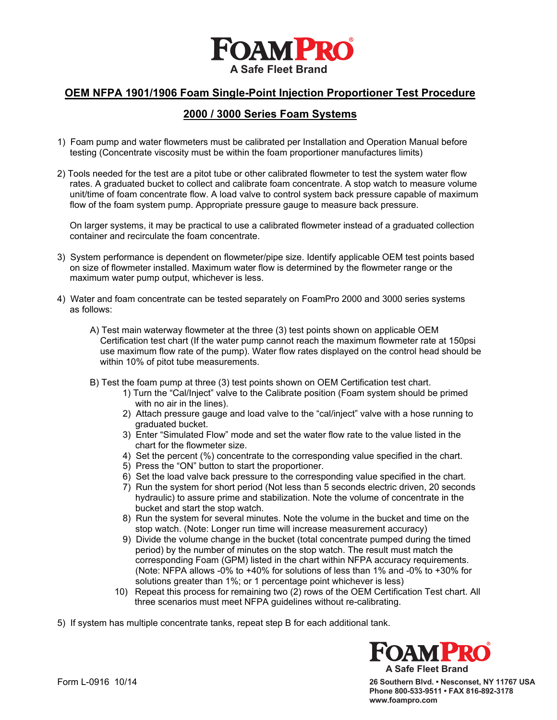

## **OEM NFPA 1901/1906 Foam Single-Point Injection Proportioner Test Procedure**

## **2000 / 3000 Series Foam Systems**

- 1) Foam pump and water flowmeters must be calibrated per Installation and Operation Manual before testing (Concentrate viscosity must be within the foam proportioner manufactures limits)
- 2) Tools needed for the test are a pitot tube or other calibrated flowmeter to test the system water flow rates. A graduated bucket to collect and calibrate foam concentrate. A stop watch to measure volume unit/time of foam concentrate flow. A load valve to control system back pressure capable of maximum flow of the foam system pump. Appropriate pressure gauge to measure back pressure.

 On larger systems, it may be practical to use a calibrated flowmeter instead of a graduated collection container and recirculate the foam concentrate.

- 3) System performance is dependent on flowmeter/pipe size. Identify applicable OEM test points based on size of flowmeter installed. Maximum water flow is determined by the flowmeter range or the maximum water pump output, whichever is less.
- 4) Water and foam concentrate can be tested separately on FoamPro 2000 and 3000 series systems as follows:
	- A) Test main waterway flowmeter at the three (3) test points shown on applicable OEM Certification test chart (If the water pump cannot reach the maximum flowmeter rate at 150psi use maximum flow rate of the pump). Water flow rates displayed on the control head should be within 10% of pitot tube measurements.
	- B) Test the foam pump at three (3) test points shown on OEM Certification test chart.
		- 1) Turn the "Cal/Inject" valve to the Calibrate position (Foam system should be primed with no air in the lines).
		- 2) Attach pressure gauge and load valve to the "cal/inject" valve with a hose running to graduated bucket.
		- 3) Enter "Simulated Flow" mode and set the water flow rate to the value listed in the chart for the flowmeter size.
		- 4) Set the percent (%) concentrate to the corresponding value specified in the chart.
		- 5) Press the "ON" button to start the proportioner.
		- 6) Set the load valve back pressure to the corresponding value specified in the chart.
		- 7) Run the system for short period (Not less than 5 seconds electric driven, 20 seconds hydraulic) to assure prime and stabilization. Note the volume of concentrate in the bucket and start the stop watch.
		- 8) Run the system for several minutes. Note the volume in the bucket and time on the stop watch. (Note: Longer run time will increase measurement accuracy)
		- 9) Divide the volume change in the bucket (total concentrate pumped during the timed period) by the number of minutes on the stop watch. The result must match the corresponding Foam (GPM) listed in the chart within NFPA accuracy requirements. (Note: NFPA allows -0% to +40% for solutions of less than 1% and -0% to +30% for solutions greater than 1%; or 1 percentage point whichever is less)
		- 10) Repeat this process for remaining two (2) rows of the OEM Certification Test chart. All three scenarios must meet NFPA guidelines without re-calibrating.

5) If system has multiple concentrate tanks, repeat step B for each additional tank.